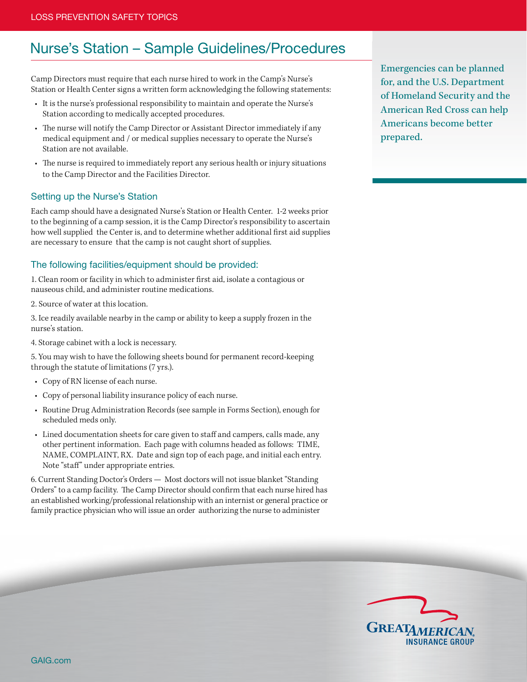# Nurse's Station – Sample Guidelines/Procedures

Camp Directors must require that each nurse hired to work in the Camp's Nurse's Station or Health Center signs a written form acknowledging the following statements:

- It is the nurse's professional responsibility to maintain and operate the Nurse's Station according to medically accepted procedures.
- The nurse will notify the Camp Director or Assistant Director immediately if any medical equipment and / or medical supplies necessary to operate the Nurse's Station are not available.
- The nurse is required to immediately report any serious health or injury situations to the Camp Director and the Facilities Director.

#### Setting up the Nurse's Station

Each camp should have a designated Nurse's Station or Health Center. 1-2 weeks prior to the beginning of a camp session, it is the Camp Director's responsibility to ascertain how well supplied the Center is, and to determine whether additional first aid supplies are necessary to ensure that the camp is not caught short of supplies.

#### The following facilities/equipment should be provided:

1. Clean room or facility in which to administer first aid, isolate a contagious or nauseous child, and administer routine medications.

2. Source of water at this location.

3. Ice readily available nearby in the camp or ability to keep a supply frozen in the nurse's station.

4. Storage cabinet with a lock is necessary.

5. You may wish to have the following sheets bound for permanent record-keeping through the statute of limitations (7 yrs.).

- Copy of RN license of each nurse.
- Copy of personal liability insurance policy of each nurse.
- Routine Drug Administration Records (see sample in Forms Section), enough for scheduled meds only.
- Lined documentation sheets for care given to staff and campers, calls made, any other pertinent information. Each page with columns headed as follows: TIME, NAME, COMPLAINT, RX. Date and sign top of each page, and initial each entry. Note "staff" under appropriate entries.

6. Current Standing Doctor's Orders — Most doctors will not issue blanket "Standing Orders" to a camp facility. The Camp Director should confirm that each nurse hired has an established working/professional relationship with an internist or general practice or family practice physician who will issue an order authorizing the nurse to administer

Emergencies can be planned for, and the U.S. Department of Homeland Security and the American Red Cross can help Americans become better prepared.

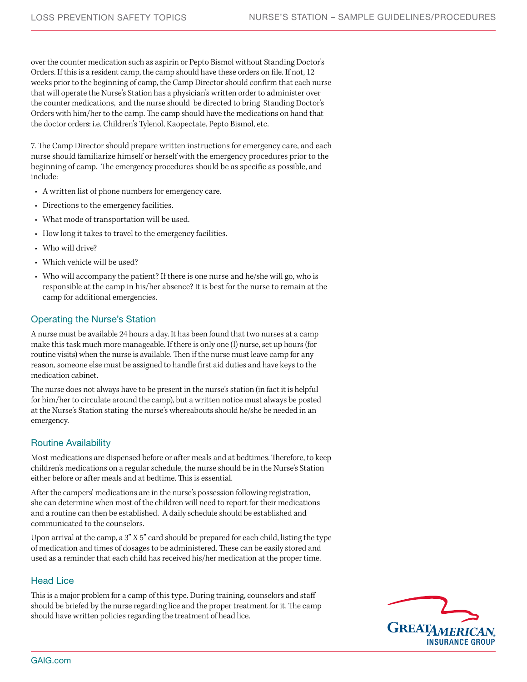over the counter medication such as aspirin or Pepto Bismol without Standing Doctor's Orders. If this is a resident camp, the camp should have these orders on file. If not, 12 weeks prior to the beginning of camp, the Camp Director should confirm that each nurse that will operate the Nurse's Station has a physician's written order to administer over the counter medications, and the nurse should be directed to bring Standing Doctor's Orders with him/her to the camp. The camp should have the medications on hand that the doctor orders: i.e. Children's Tylenol, Kaopectate, Pepto Bismol, etc.

7. The Camp Director should prepare written instructions for emergency care, and each nurse should familiarize himself or herself with the emergency procedures prior to the beginning of camp. The emergency procedures should be as specific as possible, and include:

- A written list of phone numbers for emergency care.
- Directions to the emergency facilities.
- What mode of transportation will be used.
- How long it takes to travel to the emergency facilities.
- Who will drive?
- Which vehicle will be used?
- Who will accompany the patient? If there is one nurse and he/she will go, who is responsible at the camp in his/her absence? It is best for the nurse to remain at the camp for additional emergencies.

### Operating the Nurse's Station

A nurse must be available 24 hours a day. It has been found that two nurses at a camp make this task much more manageable. If there is only one (l) nurse, set up hours (for routine visits) when the nurse is available. Then if the nurse must leave camp for any reason, someone else must be assigned to handle first aid duties and have keys to the medication cabinet.

The nurse does not always have to be present in the nurse's station (in fact it is helpful for him/her to circulate around the camp), but a written notice must always be posted at the Nurse's Station stating the nurse's whereabouts should he/she be needed in an emergency.

#### Routine Availability

Most medications are dispensed before or after meals and at bedtimes. Therefore, to keep children's medications on a regular schedule, the nurse should be in the Nurse's Station either before or after meals and at bedtime. This is essential.

After the campers' medications are in the nurse's possession following registration, she can determine when most of the children will need to report for their medications and a routine can then be established. A daily schedule should be established and communicated to the counselors.

Upon arrival at the camp, a 3" X 5" card should be prepared for each child, listing the type of medication and times of dosages to be administered. These can be easily stored and used as a reminder that each child has received his/her medication at the proper time.

#### Head Lice

This is a major problem for a camp of this type. During training, counselors and staff should be briefed by the nurse regarding lice and the proper treatment for it. The camp should have written policies regarding the treatment of head lice.